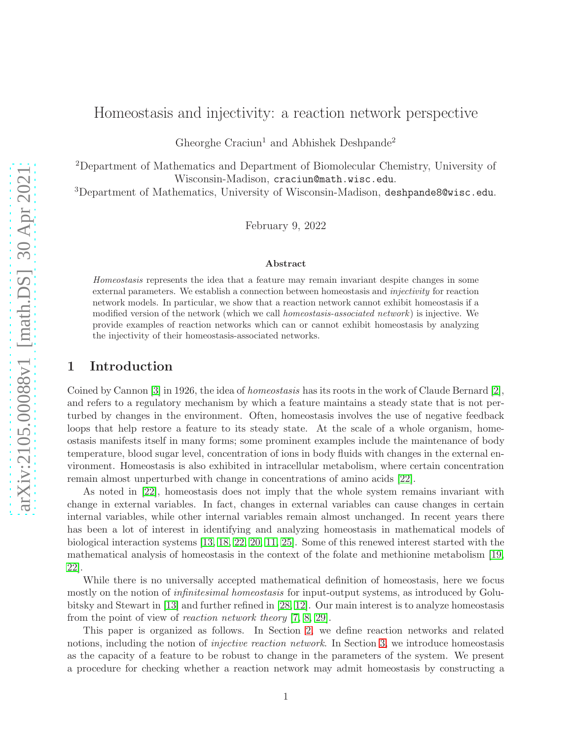# Homeostasis and injectivity: a reaction network perspective

Gheorghe Craciun<sup>1</sup> and Abhishek Deshpande<sup>2</sup>

<sup>2</sup>Department of Mathematics and Department of Biomolecular Chemistry, University of Wisconsin-Madison, craciun@math.wisc.edu.

<sup>3</sup>Department of Mathematics, University of Wisconsin-Madison, deshpande8@wisc.edu.

February 9, 2022

#### Abstract

Homeostasis represents the idea that a feature may remain invariant despite changes in some external parameters. We establish a connection between homeostasis and *injectivity* for reaction network models. In particular, we show that a reaction network cannot exhibit homeostasis if a modified version of the network (which we call *homeostasis-associated network*) is injective. We provide examples of reaction networks which can or cannot exhibit homeostasis by analyzing the injectivity of their homeostasis-associated networks.

## 1 Introduction

Coined by Cannon [\[3\]](#page-10-0) in 1926, the idea of homeostasis has its roots in the work of Claude Bernard [\[2\]](#page-10-1), and refers to a regulatory mechanism by which a feature maintains a steady state that is not perturbed by changes in the environment. Often, homeostasis involves the use of negative feedback loops that help restore a feature to its steady state. At the scale of a whole organism, homeostasis manifests itself in many forms; some prominent examples include the maintenance of body temperature, blood sugar level, concentration of ions in body fluids with changes in the external environment. Homeostasis is also exhibited in intracellular metabolism, where certain concentration remain almost unperturbed with change in concentrations of amino acids [\[22\]](#page-11-0).

As noted in [\[22\]](#page-11-0), homeostasis does not imply that the whole system remains invariant with change in external variables. In fact, changes in external variables can cause changes in certain internal variables, while other internal variables remain almost unchanged. In recent years there has been a lot of interest in identifying and analyzing homeostasis in mathematical models of biological interaction systems [\[13,](#page-11-1) [18,](#page-11-2) [22,](#page-11-0) [20,](#page-11-3) [11,](#page-11-4) [25\]](#page-11-5). Some of this renewed interest started with the mathematical analysis of homeostasis in the context of the folate and methionine metabolism [\[19,](#page-11-6) [22\]](#page-11-0).

While there is no universally accepted mathematical definition of homeostasis, here we focus mostly on the notion of *infinitesimal homeostasis* for input-output systems, as introduced by Golubitsky and Stewart in [\[13\]](#page-11-1) and further refined in [\[28,](#page-11-7) [12\]](#page-11-8). Our main interest is to analyze homeostasis from the point of view of reaction network theory [\[7,](#page-10-2) [8,](#page-10-3) [29\]](#page-11-9).

This paper is organized as follows. In Section [2,](#page-1-0) we define reaction networks and related notions, including the notion of *injective reaction network*. In Section [3,](#page-3-0) we introduce homeostasis as the capacity of a feature to be robust to change in the parameters of the system. We present a procedure for checking whether a reaction network may admit homeostasis by constructing a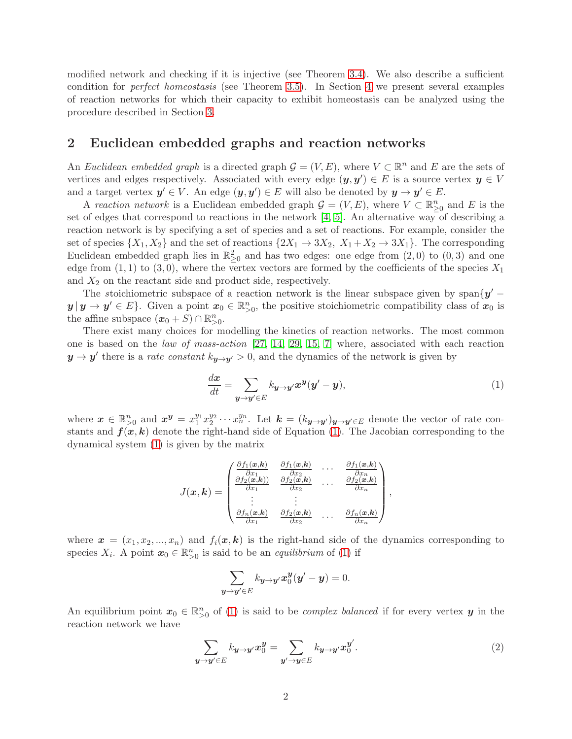modified network and checking if it is injective (see Theorem [3.4\)](#page-4-0). We also describe a sufficient condition for perfect homeostasis (see Theorem [3.5\)](#page-5-0). In Section [4](#page-5-1) we present several examples of reaction networks for which their capacity to exhibit homeostasis can be analyzed using the procedure described in Section [3.](#page-3-0)

### <span id="page-1-0"></span>2 Euclidean embedded graphs and reaction networks

An Euclidean embedded graph is a directed graph  $\mathcal{G} = (V, E)$ , where  $V \subset \mathbb{R}^n$  and E are the sets of vertices and edges respectively. Associated with every edge  $(y, y') \in E$  is a source vertex  $y \in V$ and a target vertex  $y' \in V$ . An edge  $(y, y') \in E$  will also be denoted by  $y \to y' \in E$ .

A reaction network is a Euclidean embedded graph  $\mathcal{G} = (V, E)$ , where  $V \subset \mathbb{R}^n_{\geq 0}$  and E is the set of edges that correspond to reactions in the network  $[4, 5]$  $[4, 5]$ . An alternative way of describing a reaction network is by specifying a set of species and a set of reactions. For example, consider the set of species  $\{X_1, X_2\}$  and the set of reactions  $\{2X_1 \rightarrow 3X_2, X_1 + X_2 \rightarrow 3X_1\}$ . The corresponding Euclidean embedded graph lies in  $\mathbb{R}^2_{\geq 0}$  and has two edges: one edge from  $(2,0)$  to  $(0,3)$  and one edge from  $(1, 1)$  to  $(3, 0)$ , where the vertex vectors are formed by the coefficients of the species  $X_1$ and  $X_2$  on the reactant side and product side, respectively.

The stoichiometric subspace of a reaction network is the linear subspace given by span $\{y'$  $y | y \to y' \in E$ . Given a point  $x_0 \in \mathbb{R}_{>0}^n$ , the positive stoichiometric compatibility class of  $x_0$  is the affine subspace  $(x_0 + S) \cap \mathbb{R}^n_{>0}$ .

There exist many choices for modelling the kinetics of reaction networks. The most common one is based on the law of mass-action  $[27, 14, 29, 15, 7]$  $[27, 14, 29, 15, 7]$  $[27, 14, 29, 15, 7]$  $[27, 14, 29, 15, 7]$  $[27, 14, 29, 15, 7]$  where, associated with each reaction  $y \to y'$  there is a *rate constant*  $k_{y \to y'} > 0$ , and the dynamics of the network is given by

<span id="page-1-1"></span>
$$
\frac{dx}{dt} = \sum_{\mathbf{y}\to\mathbf{y}'\in E} k_{\mathbf{y}\to\mathbf{y}'} \mathbf{x}^{\mathbf{y}} (\mathbf{y}' - \mathbf{y}),\tag{1}
$$

where  $\mathbf{x} \in \mathbb{R}_{\geq 0}^n$  and  $\mathbf{x}^{\mathbf{y}} = x_1^{y_1}$  $\frac{y_1}{1}x_2^{y_2}$  $x_2^{y_2} \cdots x_n^{y_n}$ . Let  $\mathbf{k} = (k_{\mathbf{y} \to \mathbf{y}'} )_{\mathbf{y} \to \mathbf{y}' \in E}$  denote the vector of rate constants and  $f(x, k)$  denote the right-hand side of Equation [\(1\)](#page-1-1). The Jacobian corresponding to the dynamical system [\(1\)](#page-1-1) is given by the matrix

$$
J(\boldsymbol{x},\boldsymbol{k}) = \begin{pmatrix} \frac{\partial f_1(\boldsymbol{x},\boldsymbol{k})}{\partial x_1} & \frac{\partial f_1(\boldsymbol{x},\boldsymbol{k})}{\partial x_2} & \cdots & \frac{\partial f_1(\boldsymbol{x},\boldsymbol{k})}{\partial x_n} \\ \frac{\partial f_2(\boldsymbol{x},\boldsymbol{k})}{\partial x_1} & \frac{\partial f_2(\boldsymbol{x},\boldsymbol{k})}{\partial x_2} & \cdots & \frac{\partial f_2(\boldsymbol{x},\boldsymbol{k})}{\partial x_n} \\ \vdots & \vdots & & \vdots \\ \frac{\partial f_n(\boldsymbol{x},\boldsymbol{k})}{\partial x_1} & \frac{\partial f_2(\boldsymbol{x},\boldsymbol{k})}{\partial x_2} & \cdots & \frac{\partial f_n(\boldsymbol{x},\boldsymbol{k})}{\partial x_n} \end{pmatrix},
$$

where  $\mathbf{x} = (x_1, x_2, ..., x_n)$  and  $f_i(\mathbf{x}, \mathbf{k})$  is the right-hand side of the dynamics corresponding to species  $X_i$ . A point  $x_0 \in \mathbb{R}^n_{>0}$  is said to be an *equilibrium* of [\(1\)](#page-1-1) if

$$
\sum_{\boldsymbol{y}\to\boldsymbol{y}'\in E}k_{\boldsymbol{y}\to\boldsymbol{y}'}\boldsymbol{x}_0^{\boldsymbol{y}}(\boldsymbol{y}'-\boldsymbol{y})=0.
$$

An equilibrium point  $x_0 \in \mathbb{R}^n_{>0}$  of [\(1\)](#page-1-1) is said to be *complex balanced* if for every vertex **y** in the reaction network we have

$$
\sum_{\mathbf{y}\to\mathbf{y}'\in E} k_{\mathbf{y}\to\mathbf{y}'} x_0^{\mathbf{y}} = \sum_{\mathbf{y}'\to\mathbf{y}\in E} k_{\mathbf{y}\to\mathbf{y}'} x_0^{\mathbf{y}'}.
$$
 (2)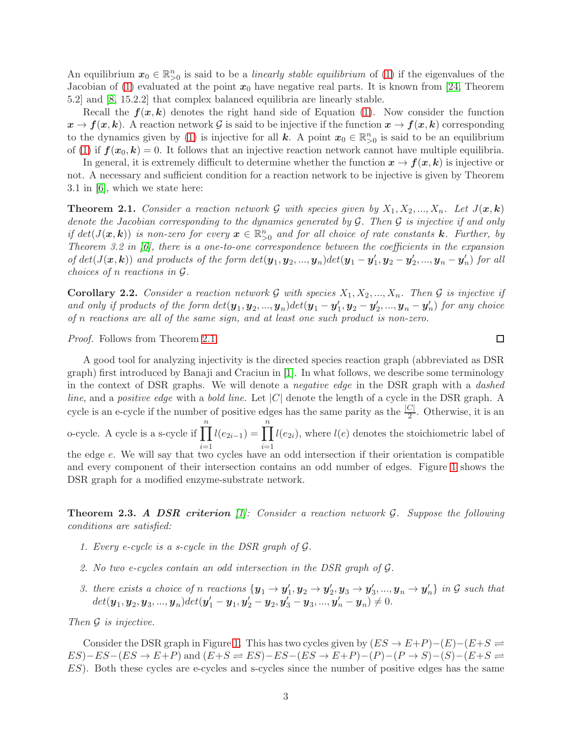An equilibrium  $x_0 \in \mathbb{R}_{\geq 0}^n$  is said to be a *linearly stable equilibrium* of [\(1\)](#page-1-1) if the eigenvalues of the Jacobian of [\(1\)](#page-1-1) evaluated at the point  $x_0$  have negative real parts. It is known from [\[24,](#page-11-13) Theorem 5.2] and [\[8,](#page-10-3) 15.2.2] that complex balanced equilibria are linearly stable.

Recall the  $f(x, k)$  denotes the right hand side of Equation [\(1\)](#page-1-1). Now consider the function  $x \to f(x, k)$ . A reaction network G is said to be injective if the function  $x \to f(x, k)$  corresponding to the dynamics given by [\(1\)](#page-1-1) is injective for all k. A point  $x_0 \in \mathbb{R}_{>0}^n$  is said to be an equilibrium of [\(1\)](#page-1-1) if  $f(x_0, k) = 0$ . It follows that an injective reaction network cannot have multiple equilibria.

In general, it is extremely difficult to determine whether the function  $x \to f(x, k)$  is injective or not. A necessary and sufficient condition for a reaction network to be injective is given by Theorem 3.1 in [\[6\]](#page-10-6), which we state here:

<span id="page-2-0"></span>**Theorem 2.1.** Consider a reaction network G with species given by  $X_1, X_2, ..., X_n$ . Let  $J(\mathbf{x}, \mathbf{k})$ denote the Jacobian corresponding to the dynamics generated by  $G$ . Then  $G$  is injective if and only if  $det(J(\mathbf{x}, \mathbf{k}))$  is non-zero for every  $\mathbf{x} \in \mathbb{R}_{>0}^n$  and for all choice of rate constants **k**. Further, by Theorem 3.2 in [\[6\]](#page-10-6), there is a one-to-one correspondence between the coefficients in the expansion of  $det(J(\bm{x}, \bm{k}))$  and products of the form  $det(\bm{y}_1, \bm{y}_2, ..., \bm{y}_n)det(\bm{y}_1 - \bm{y}'_1, \bm{y}_2 - \bm{y}'_2, ..., \bm{y}_n - \bm{y}'_n)$  for all choices of n reactions in G.

**Corollary 2.2.** Consider a reaction network G with species  $X_1, X_2, ..., X_n$ . Then G is injective if and only if products of the form  $det(\mathbf{y}_1, \mathbf{y}_2, ..., \mathbf{y}_n) det(\mathbf{y}_1 - \mathbf{y}_1', \mathbf{y}_2 - \mathbf{y}_2', ..., \mathbf{y}_n - \mathbf{y}_n')$  for any choice of n reactions are all of the same sign, and at least one such product is non-zero.

Proof. Follows from Theorem [2.1.](#page-2-0)

A good tool for analyzing injectivity is the directed species reaction graph (abbreviated as DSR graph) first introduced by Banaji and Craciun in [\[1\]](#page-10-7). In what follows, we describe some terminology in the context of DSR graphs. We will denote a negative edge in the DSR graph with a dashed line, and a positive edge with a bold line. Let  $|C|$  denote the length of a cycle in the DSR graph. A cycle is an e-cycle if the number of positive edges has the same parity as the  $\frac{|C|}{2}$ . Otherwise, it is an o-cycle. A cycle is a s-cycle if  $\prod_{n=1}^{n}$  $i=1$  $l(e_{2i-1}) = \prod^{n}$  $i=1$  $l(e_{2i})$ , where  $l(e)$  denotes the stoichiometric label of the edge e. We will say that two cycles have an odd intersection if their orientation is compatible and every component of their intersection contains an odd number of edges. Figure [1](#page-3-1) shows the DSR graph for a modified enzyme-substrate network.

<span id="page-2-2"></span><span id="page-2-1"></span>**Theorem 2.3. A DSR criterion** [\[1\]](#page-10-7): Consider a reaction network  $\mathcal{G}$ . Suppose the following conditions are satisfied:

- <span id="page-2-3"></span>1. Every e-cycle is a s-cycle in the DSR graph of G.
- <span id="page-2-4"></span>2. No two e-cycles contain an odd intersection in the DSR graph of G.
- 3. there exists a choice of n reactions  $\{y_1 \rightarrow y_1', y_2 \rightarrow y_2', y_3 \rightarrow y_3', ..., y_n \rightarrow y_n'\}$  in G such that  $det(\mathbf{y}_1, \mathbf{y}_2, \mathbf{y}_3, ..., \mathbf{y}_n) det(\mathbf{y}_1' - \mathbf{y}_1, \mathbf{y}_2' - \mathbf{y}_2, \mathbf{y}_3' - \mathbf{y}_3, ..., \mathbf{y}_n' - \mathbf{y}_n) \neq 0.$

Then G is injective.

Consider the DSR graph in Figure [1.](#page-3-1) This has two cycles given by  $(ES \to E+P)-(E)-(E+S \rightleftharpoons$  $ES)-ES-(ES \rightarrow E+P)$  and  $(E+S \rightleftharpoons ES)-ES-(ES \rightarrow E+P)-(P)-(P \rightarrow S)-(S)-(E+S \rightleftharpoons$ ES). Both these cycles are e-cycles and s-cycles since the number of positive edges has the same

 $\Box$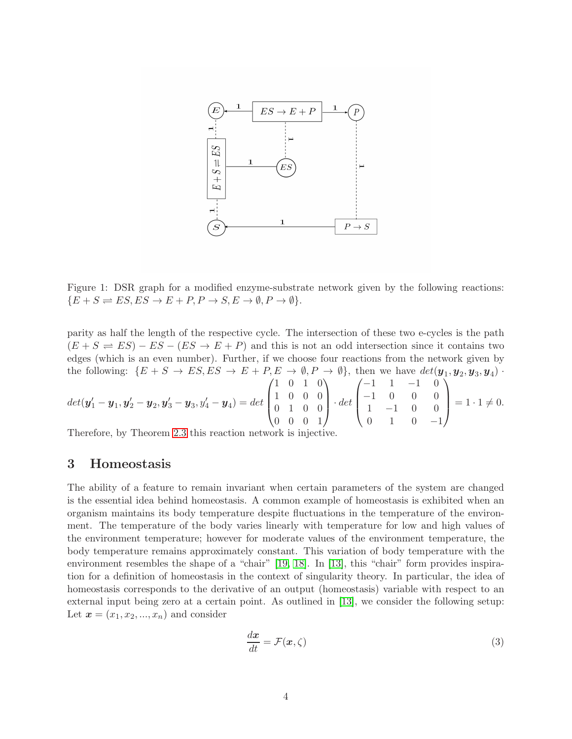<span id="page-3-1"></span>

Figure 1: DSR graph for a modified enzyme-substrate network given by the following reactions:  ${E + S \rightleftharpoons ES, ES \rightarrow E + P, P \rightarrow S, E \rightarrow \emptyset, P \rightarrow \emptyset}.$ 

parity as half the length of the respective cycle. The intersection of these two e-cycles is the path  $(E + S \rightleftharpoons ES) - ES - (ES \rightarrow E + P)$  and this is not an odd intersection since it contains two edges (which is an even number). Further, if we choose four reactions from the network given by the following:  $\{E + S \to ES, ES \to E + P, E \to \emptyset, P \to \emptyset\}$ , then we have  $\det(\mathbf{y}_1, \mathbf{y}_2, \mathbf{y}_3, \mathbf{y}_4)$ .

$$
det(\boldsymbol{y}_1' - \boldsymbol{y}_1, \boldsymbol{y}_2' - \boldsymbol{y}_2, \boldsymbol{y}_3' - \boldsymbol{y}_3, \boldsymbol{y}_4' - \boldsymbol{y}_4) = det \begin{pmatrix} 1 & 0 & 1 & 0 \\ 1 & 0 & 0 & 0 \\ 0 & 1 & 0 & 0 \\ 0 & 0 & 0 & 1 \end{pmatrix} \cdot det \begin{pmatrix} -1 & 1 & -1 & 0 \\ -1 & 0 & 0 & 0 \\ 1 & -1 & 0 & 0 \\ 0 & 1 & 0 & -1 \end{pmatrix} = 1 \cdot 1 \neq 0.
$$

<span id="page-3-0"></span>Therefore, by Theorem [2.3](#page-2-1) this reaction network is injective.

#### 3 Homeostasis

The ability of a feature to remain invariant when certain parameters of the system are changed is the essential idea behind homeostasis. A common example of homeostasis is exhibited when an organism maintains its body temperature despite fluctuations in the temperature of the environment. The temperature of the body varies linearly with temperature for low and high values of the environment temperature; however for moderate values of the environment temperature, the body temperature remains approximately constant. This variation of body temperature with the environment resembles the shape of a "chair" [\[19,](#page-11-6) [18\]](#page-11-2). In [\[13\]](#page-11-1), this "chair" form provides inspiration for a definition of homeostasis in the context of singularity theory. In particular, the idea of homeostasis corresponds to the derivative of an output (homeostasis) variable with respect to an external input being zero at a certain point. As outlined in [\[13\]](#page-11-1), we consider the following setup: Let  $\mathbf{x} = (x_1, x_2, ..., x_n)$  and consider

$$
\frac{dx}{dt} = \mathcal{F}(x,\zeta) \tag{3}
$$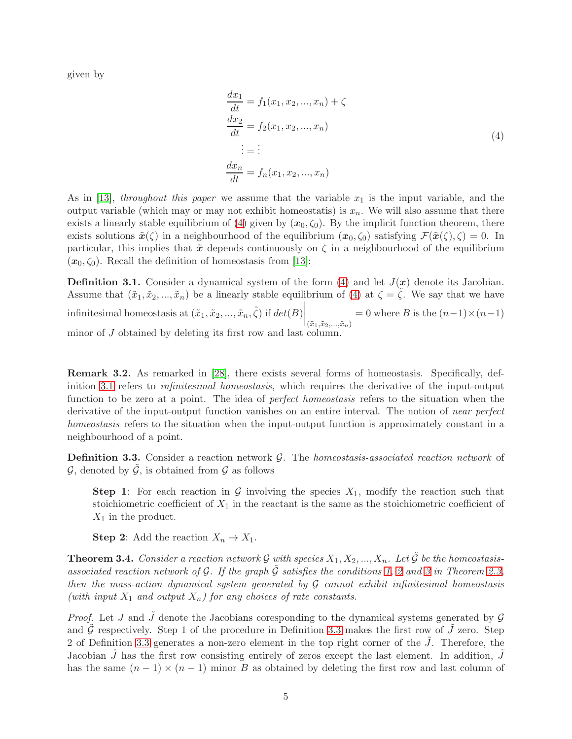given by

<span id="page-4-1"></span>
$$
\frac{dx_1}{dt} = f_1(x_1, x_2, ..., x_n) + \zeta
$$
\n
$$
\frac{dx_2}{dt} = f_2(x_1, x_2, ..., x_n)
$$
\n
$$
\vdots = \vdots
$$
\n
$$
\frac{dx_n}{dt} = f_n(x_1, x_2, ..., x_n)
$$
\n(4)

As in [\[13\]](#page-11-1), throughout this paper we assume that the variable  $x_1$  is the input variable, and the output variable (which may or may not exhibit homeostatis) is  $x_n$ . We will also assume that there exists a linearly stable equilibrium of [\(4\)](#page-4-1) given by  $(x_0, \zeta_0)$ . By the implicit function theorem, there exists solutions  $\tilde{\boldsymbol{x}}(\zeta)$  in a neighbourhood of the equilibrium  $(\boldsymbol{x}_0, \zeta_0)$  satisfying  $\mathcal{F}(\tilde{\boldsymbol{x}}(\zeta), \zeta) = 0$ . In particular, this implies that  $\tilde{x}$  depends continuously on  $\zeta$  in a neighbourhood of the equilibrium  $(x_0, \zeta_0)$ . Recall the definition of homeostasis from [\[13\]](#page-11-1):

<span id="page-4-2"></span>**Definition 3.1.** Consider a dynamical system of the form  $(4)$  and let  $J(x)$  denote its Jacobian. Assume that  $(\tilde{x}_1, \tilde{x}_2, ..., \tilde{x}_n)$  be a linearly stable equilibrium of [\(4\)](#page-4-1) at  $\zeta = \zeta$ . We say that we have infinitesimal homeostasis at  $(\tilde{x}_1, \tilde{x}_2, ..., \tilde{x}_n, \tilde{\zeta})$  if  $det(B)$ <br> $(\tilde{x}_1, \tilde{x}_2, ..., \tilde{x}_n)$  $= 0$  where B is the  $(n-1) \times (n-1)$ minor of J obtained by deleting its first row and last column.

Remark 3.2. As remarked in [\[28\]](#page-11-7), there exists several forms of homeostasis. Specifically, definition [3.1](#page-4-2) refers to infinitesimal homeostasis, which requires the derivative of the input-output function to be zero at a point. The idea of *perfect homeostasis* refers to the situation when the derivative of the input-output function vanishes on an entire interval. The notion of *near perfect* homeostasis refers to the situation when the input-output function is approximately constant in a neighbourhood of a point.

<span id="page-4-3"></span>**Definition 3.3.** Consider a reaction network  $\mathcal{G}$ . The *homeostasis-associated reaction network* of  $\mathcal{G}$ , denoted by  $\mathcal{G}$ , is obtained from  $\mathcal{G}$  as follows

**Step 1:** For each reaction in G involving the species  $X_1$ , modify the reaction such that stoichiometric coefficient of  $X_1$  in the reactant is the same as the stoichiometric coefficient of  $X_1$  in the product.

**Step 2:** Add the reaction  $X_n \to X_1$ .

<span id="page-4-0"></span>**Theorem 3.4.** Consider a reaction network G with species  $X_1, X_2, ..., X_n$ . Let  $\tilde{G}$  be the homeostasisassociated reaction network of G. If the graph  $\tilde{G}$  satisfies the conditions [1,](#page-2-2) [2](#page-2-3) and [3](#page-2-4) in Theorem [2.3,](#page-2-1) then the mass-action dynamical system generated by  $G$  cannot exhibit infinitesimal homeostasis (with input  $X_1$  and output  $X_n$ ) for any choices of rate constants.

*Proof.* Let J and  $\tilde{J}$  denote the Jacobians coresponding to the dynamical systems generated by  $\mathcal{G}$ and G respectively. Step 1 of the procedure in Definition [3.3](#page-4-3) makes the first row of  $J$  zero. Step 2 of Definition [3.3](#page-4-3) generates a non-zero element in the top right corner of the  $J$ . Therefore, the Jacobian  $\tilde{J}$  has the first row consisting entirely of zeros except the last element. In addition,  $J$ has the same  $(n-1) \times (n-1)$  minor B as obtained by deleting the first row and last column of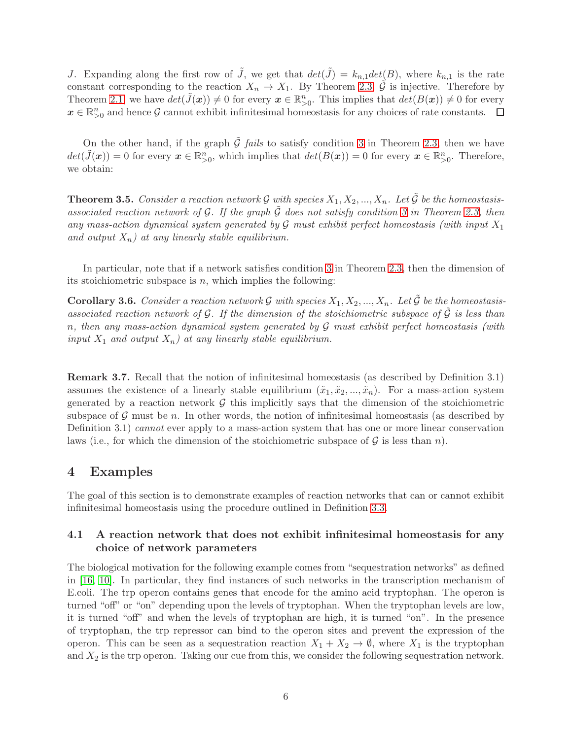J. Expanding along the first row of  $\tilde{J}$ , we get that  $det(\tilde{J}) = k_{n,1} det(B)$ , where  $k_{n,1}$  is the rate constant corresponding to the reaction  $X_n \to X_1$ . By Theorem [2.3,](#page-2-1)  $\tilde{\mathcal{G}}$  is injective. Therefore by Theorem [2.1,](#page-2-0) we have  $det(\tilde{J}(\boldsymbol{x})) \neq 0$  for every  $\boldsymbol{x} \in \mathbb{R}_{>0}^n$ . This implies that  $det(B(\boldsymbol{x})) \neq 0$  for every  $x \in \mathbb{R}_{\geq 0}^n$  and hence G cannot exhibit infinitesimal homeostasis for any choices of rate constants.

On the other hand, if the graph  $\tilde{\mathcal{G}}$  fails to satisfy condition [3](#page-2-4) in Theorem [2.3,](#page-2-1) then we have  $det(\tilde{J}(\boldsymbol{x})) = 0$  for every  $\boldsymbol{x} \in \mathbb{R}_{>0}^n$ , which implies that  $det(B(\boldsymbol{x})) = 0$  for every  $\boldsymbol{x} \in \mathbb{R}_{>0}^n$ . Therefore, we obtain:

<span id="page-5-0"></span>**Theorem 3.5.** Consider a reaction network G with species  $X_1, X_2, ..., X_n$ . Let  $\tilde{G}$  be the homeostasisassociated reaction network of G. If the graph  $\tilde{G}$  does not satisfy condition [3](#page-2-4) in Theorem [2.3,](#page-2-1) then any mass-action dynamical system generated by  $\mathcal G$  must exhibit perfect homeostasis (with input  $X_1$ and output  $X_n$ ) at any linearly stable equilibrium.

In particular, note that if a network satisfies condition [3](#page-2-4) in Theorem [2.3,](#page-2-1) then the dimension of its stoichiometric subspace is  $n$ , which implies the following:

**Corollary 3.6.** Consider a reaction network G with species  $X_1, X_2, ..., X_n$ . Let  $\tilde{G}$  be the homeostasisassociated reaction network of G. If the dimension of the stoichiometric subspace of  $\tilde{G}$  is less than n, then any mass-action dynamical system generated by  $\mathcal G$  must exhibit perfect homeostasis (with input  $X_1$  and output  $X_n$ ) at any linearly stable equilibrium.

Remark 3.7. Recall that the notion of infinitesimal homeostasis (as described by Definition 3.1) assumes the existence of a linearly stable equilibrium  $(\tilde{x}_1, \tilde{x}_2, ..., \tilde{x}_n)$ . For a mass-action system generated by a reaction network  $\mathcal G$  this implicitly says that the dimension of the stoichiometric subspace of  $\mathcal G$  must be n. In other words, the notion of infinitesimal homeostasis (as described by Definition 3.1) cannot ever apply to a mass-action system that has one or more linear conservation laws (i.e., for which the dimension of the stoichiometric subspace of  $\mathcal G$  is less than n).

### <span id="page-5-1"></span>4 Examples

The goal of this section is to demonstrate examples of reaction networks that can or cannot exhibit infinitesimal homeostasis using the procedure outlined in Definition [3.3.](#page-4-3)

#### 4.1 A reaction network that does not exhibit infinitesimal homeostasis for any choice of network parameters

The biological motivation for the following example comes from "sequestration networks" as defined in [\[16,](#page-11-14) [10\]](#page-10-8). In particular, they find instances of such networks in the transcription mechanism of E.coli. The trp operon contains genes that encode for the amino acid tryptophan. The operon is turned "off" or "on" depending upon the levels of tryptophan. When the tryptophan levels are low, it is turned "off" and when the levels of tryptophan are high, it is turned "on". In the presence of tryptophan, the trp repressor can bind to the operon sites and prevent the expression of the operon. This can be seen as a sequestration reaction  $X_1 + X_2 \to \emptyset$ , where  $X_1$  is the tryptophan and  $X_2$  is the trp operon. Taking our cue from this, we consider the following sequestration network.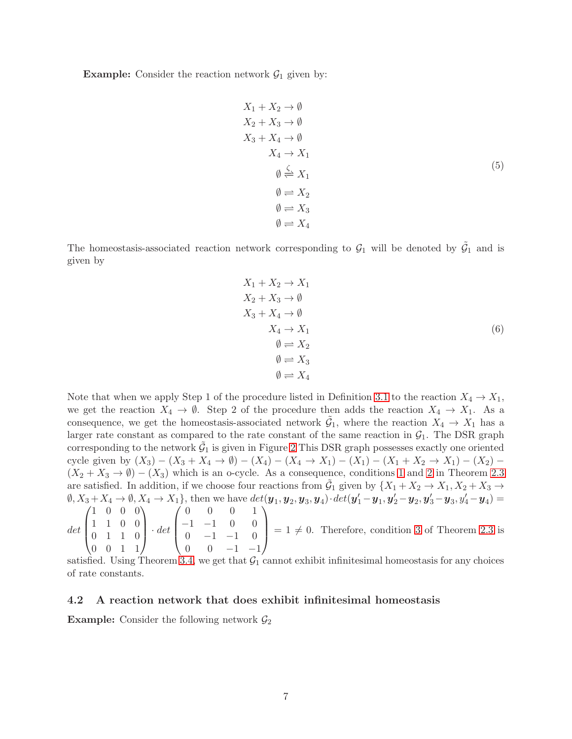**Example:** Consider the reaction network  $\mathcal{G}_1$  given by:

$$
X_1 + X_2 \rightarrow \emptyset
$$
  
\n
$$
X_2 + X_3 \rightarrow \emptyset
$$
  
\n
$$
X_3 + X_4 \rightarrow \emptyset
$$
  
\n
$$
X_4 \rightarrow X_1
$$
  
\n
$$
\emptyset \stackrel{\zeta}{\rightleftharpoons} X_1
$$
  
\n
$$
\emptyset \rightleftharpoons X_2
$$
  
\n
$$
\emptyset \rightleftharpoons X_3
$$
  
\n
$$
\emptyset \rightleftharpoons X_4
$$
  
\n(5)

The homeostasis-associated reaction network corresponding to  $\mathcal{G}_1$  will be denoted by  $\tilde{\mathcal{G}}_1$  and is given by

$$
X_1 + X_2 \rightarrow X_1
$$
  
\n
$$
X_2 + X_3 \rightarrow \emptyset
$$
  
\n
$$
X_3 + X_4 \rightarrow \emptyset
$$
  
\n
$$
X_4 \rightarrow X_1
$$
  
\n
$$
\emptyset \rightleftharpoons X_2
$$
  
\n
$$
\emptyset \rightleftharpoons X_3
$$
  
\n
$$
\emptyset \rightleftharpoons X_4
$$
  
\n(6)

Note that when we apply Step 1 of the procedure listed in Definition [3.1](#page-4-2) to the reaction  $X_4 \to X_1$ , we get the reaction  $X_4 \to \emptyset$ . Step 2 of the procedure then adds the reaction  $X_4 \to X_1$ . As a consequence, we get the homeostasis-associated network  $\tilde{G}_1$ , where the reaction  $X_4 \to X_1$  has a larger rate constant as compared to the rate constant of the same reaction in  $\mathcal{G}_1$ . The DSR graph corresponding to the network  $\tilde{G}_1$  is given in Figure [2](#page-7-0) This DSR graph possesses exactly one oriented cycle given by  $(X_3) - (X_3 + X_4 \rightarrow \emptyset) - (X_4) - (X_4 \rightarrow X_1) - (X_1) - (X_1 + X_2 \rightarrow X_1) - (X_2)$  $(X_2 + X_3 \rightarrow \emptyset) - (X_3)$  which is an o-cycle. As a consequence, conditions [1](#page-2-2) and [2](#page-2-3) in Theorem [2.3](#page-2-1) are satisfied. In addition, if we choose four reactions from  $\tilde{G}_1$  given by  $\{X_1 + X_2 \to X_1, X_2 + X_3 \to X_4\}$  $\emptyset, X_3+X_4 \rightarrow \emptyset, X_4 \rightarrow X_1\}, \text{ then we have } det(\bm{y}_1,\bm{y}_2,\bm{y}_3,\bm{y}_4)\cdot det(\bm{y}'_1-\bm{y}_1,\bm{y}'_2-\bm{y}_2,\bm{y}'_3-\bm{y}_3,y'_4-\bm{y}_4) =$ det  $\sqrt{ }$  $\overline{\phantom{a}}$ 1 0 0 0 1 1 0 0 0 1 1 0  $\setminus$  $\vert \cdot det$  $\sqrt{ }$  $\overline{\phantom{a}}$ 0 0 0 1  $-1$   $-1$  0 0  $0 \t -1 \t -1 \t 0$  $\setminus$  $= 1 \neq 0$ . Therefore, condition [3](#page-2-4) of Theorem [2.3](#page-2-1) is

 $0 \t -1 \t -1$ satisfied. Using Theorem [3.4,](#page-4-0) we get that  $G_1$  cannot exhibit infinitesimal homeostasis for any choices of rate constants.

#### 4.2 A reaction network that does exhibit infinitesimal homeostasis

**Example:** Consider the following network  $\mathcal{G}_2$ 

0 0 1 1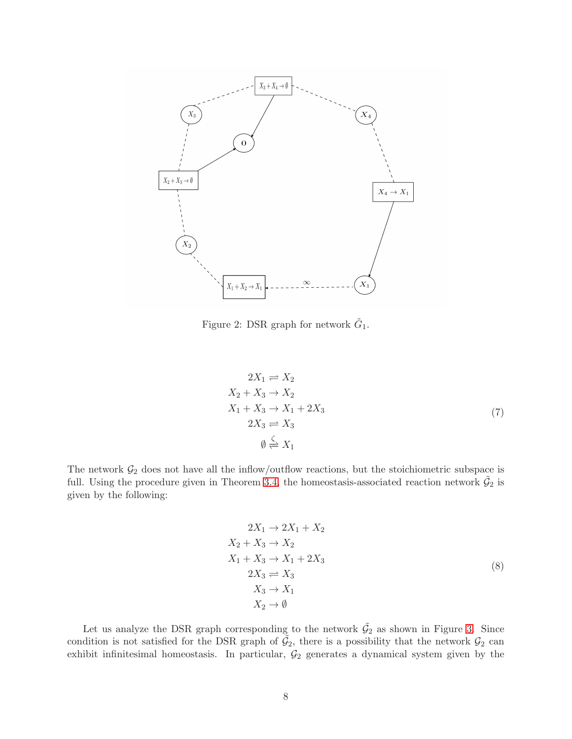<span id="page-7-0"></span>

Figure 2: DSR graph for network  $\tilde{G}_1$ .

$$
2X_1 \rightleftharpoons X_2
$$
  
\n
$$
X_2 + X_3 \rightarrow X_2
$$
  
\n
$$
X_1 + X_3 \rightarrow X_1 + 2X_3
$$
  
\n
$$
2X_3 \rightleftharpoons X_3
$$
  
\n
$$
\emptyset \stackrel{\zeta}{\rightleftharpoons} X_1
$$
\n(7)

The network  $\mathcal{G}_2$  does not have all the inflow/outflow reactions, but the stoichiometric subspace is full. Using the procedure given in Theorem [3.4,](#page-4-0) the homeostasis-associated reaction network  $\tilde{G}_2$  is given by the following:

$$
2X_1 \rightarrow 2X_1 + X_2
$$
  
\n
$$
X_2 + X_3 \rightarrow X_2
$$
  
\n
$$
X_1 + X_3 \rightarrow X_1 + 2X_3
$$
  
\n
$$
2X_3 \rightleftharpoons X_3
$$
  
\n
$$
X_3 \rightarrow X_1
$$
  
\n
$$
X_2 \rightarrow \emptyset
$$
  
\n(8)

Let us analyze the DSR graph corresponding to the network  $\tilde{\mathcal{G}}_2$  as shown in Figure [3.](#page-8-0) Since condition is not satisfied for the DSR graph of  $\tilde{G}_2$ , there is a possibility that the network  $G_2$  can exhibit infinitesimal homeostasis. In particular,  $\mathcal{G}_2$  generates a dynamical system given by the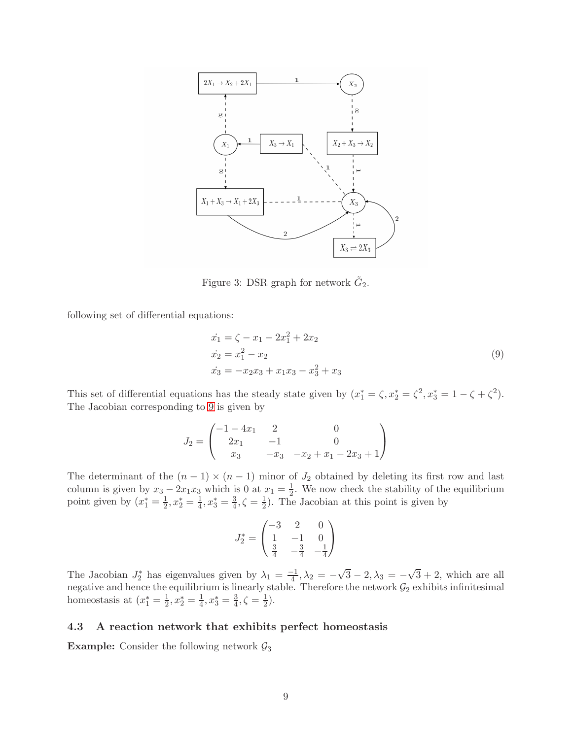<span id="page-8-0"></span>

Figure 3: DSR graph for network  $\tilde{G}_2$ .

following set of differential equations:

<span id="page-8-1"></span>
$$
\begin{aligned}\n\dot{x}_1 &= \zeta - x_1 - 2x_1^2 + 2x_2\\ \n\dot{x}_2 &= x_1^2 - x_2\\ \n\dot{x}_3 &= -x_2x_3 + x_1x_3 - x_3^2 + x_3\n\end{aligned} \tag{9}
$$

This set of differential equations has the steady state given by  $(x_1^* = \zeta, x_2^* = \zeta^2, x_3^* = 1 - \zeta + \zeta^2)$ . The Jacobian corresponding to [9](#page-8-1) is given by

$$
J_2 = \begin{pmatrix} -1 - 4x_1 & 2 & 0 \\ 2x_1 & -1 & 0 \\ x_3 & -x_3 & -x_2 + x_1 - 2x_3 + 1 \end{pmatrix}
$$

The determinant of the  $(n - 1) \times (n - 1)$  minor of  $J_2$  obtained by deleting its first row and last column is given by  $x_3 - 2x_1x_3$  which is 0 at  $x_1 = \frac{1}{2}$ . We now check the stability of the equilibrium point given by  $(x_1^* = \frac{1}{2}, x_2^* = \frac{1}{4}, x_3^* = \frac{3}{4}, \zeta = \frac{1}{2})$ . The Jacobian at this point is given by

$$
J_2^* = \begin{pmatrix} -3 & 2 & 0\\ 1 & -1 & 0\\ \frac{3}{4} & -\frac{3}{4} & -\frac{1}{4} \end{pmatrix}
$$

The Jacobian  $J_2^*$  has eigenvalues given by  $\lambda_1 = \frac{-1}{4}, \lambda_2 = -\sqrt{3} - 2, \lambda_3 = -\sqrt{3} + 2$ , which are all negative and hence the equilibrium is linearly stable. Therefore the network  $\mathcal{G}_2$  exhibits infinitesimal homeostasis at  $(x_1^* = \frac{1}{2})$  $\frac{1}{2}, x_2^* = \frac{1}{4}$  $\frac{1}{4}$ ,  $x_3^* = \frac{3}{4}$  $\frac{3}{4}, \zeta = \frac{1}{2}$  $(\frac{1}{2})$ .

#### 4.3 A reaction network that exhibits perfect homeostasis

**Example:** Consider the following network  $\mathcal{G}_3$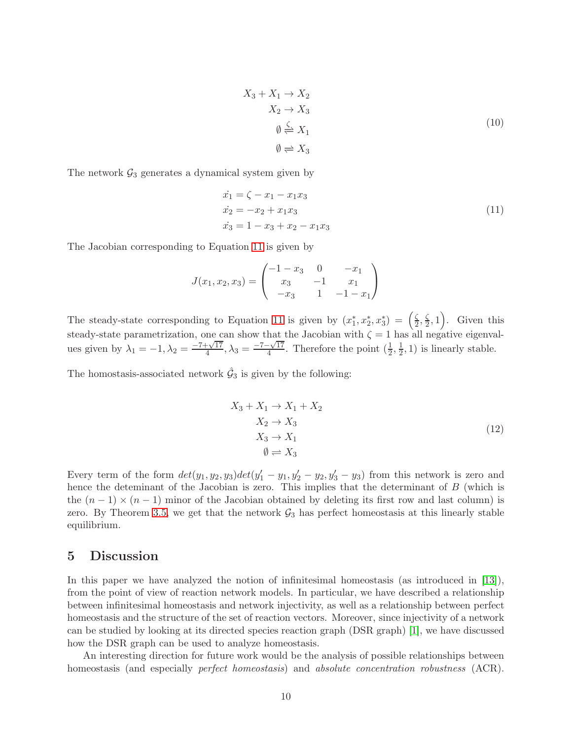$$
X_3 + X_1 \to X_2
$$
  
\n
$$
X_2 \to X_3
$$
  
\n
$$
\emptyset \xleftarrow{\zeta} X_1
$$
  
\n
$$
\emptyset \Rightarrow X_3
$$
  
\n(10)

The network  $\mathcal{G}_3$  generates a dynamical system given by

<span id="page-9-0"></span>
$$
\begin{aligned}\n\dot{x}_1 &= \zeta - x_1 - x_1 x_3\\ \n\dot{x}_2 &= -x_2 + x_1 x_3\\ \n\dot{x}_3 &= 1 - x_3 + x_2 - x_1 x_3\n\end{aligned} \tag{11}
$$

The Jacobian corresponding to Equation [11](#page-9-0) is given by

$$
J(x_1, x_2, x_3) = \begin{pmatrix} -1 - x_3 & 0 & -x_1 \\ x_3 & -1 & x_1 \\ -x_3 & 1 & -1 - x_1 \end{pmatrix}
$$

The steady-state corresponding to Equation [11](#page-9-0) is given by  $(x_1^*, x_2^*, x_3^*) = \left(\frac{\zeta}{2}\right)$  $\frac{\zeta}{2}, \frac{\zeta}{2}$  $\left(\frac{\zeta}{2},1\right)$ . Given this steady-state parametrization, one can show that the Jacobian with  $\zeta = 1$  has all negative eigenvalues given by  $\lambda_1 = -1, \lambda_2 = \frac{-7 + \sqrt{17}}{4}$  $\frac{1+\sqrt{17}}{4}, \lambda_3 = \frac{-7-\sqrt{17}}{4}$  $\frac{-\sqrt{17}}{4}$ . Therefore the point  $(\frac{1}{2}, \frac{1}{2})$  $(\frac{1}{2}, 1)$  is linearly stable.

The homostasis-associated network  $\hat{G}_3$  is given by the following:

$$
X_3 + X_1 \rightarrow X_1 + X_2
$$
  
\n
$$
X_2 \rightarrow X_3
$$
  
\n
$$
X_3 \rightarrow X_1
$$
  
\n
$$
\emptyset \rightleftharpoons X_3
$$
  
\n(12)

Every term of the form  $det(y_1, y_2, y_3)det(y_1' - y_1, y_2' - y_2, y_3' - y_3)$  from this network is zero and hence the deteminant of the Jacobian is zero. This implies that the determinant of B (which is the  $(n-1) \times (n-1)$  minor of the Jacobian obtained by deleting its first row and last column) is zero. By Theorem [3.5,](#page-5-0) we get that the network  $\mathcal{G}_3$  has perfect homeostasis at this linearly stable equilibrium.

### 5 Discussion

In this paper we have analyzed the notion of infinitesimal homeostasis (as introduced in [\[13\]](#page-11-1)), from the point of view of reaction network models. In particular, we have described a relationship between infinitesimal homeostasis and network injectivity, as well as a relationship between perfect homeostasis and the structure of the set of reaction vectors. Moreover, since injectivity of a network can be studied by looking at its directed species reaction graph (DSR graph) [\[1\]](#page-10-7), we have discussed how the DSR graph can be used to analyze homeostasis.

An interesting direction for future work would be the analysis of possible relationships between homeostasis (and especially *perfect homeostasis*) and *absolute concentration robustness* (ACR).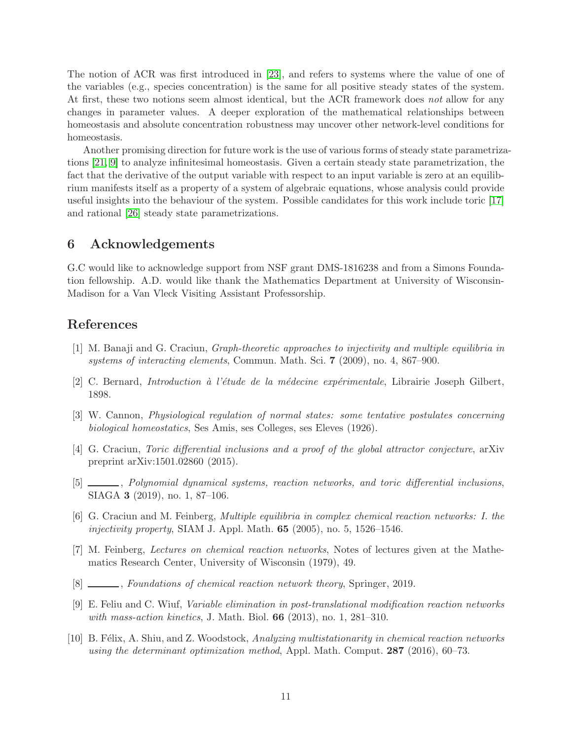The notion of ACR was first introduced in [\[23\]](#page-11-15), and refers to systems where the value of one of the variables (e.g., species concentration) is the same for all positive steady states of the system. At first, these two notions seem almost identical, but the ACR framework does not allow for any changes in parameter values. A deeper exploration of the mathematical relationships between homeostasis and absolute concentration robustness may uncover other network-level conditions for homeostasis.

Another promising direction for future work is the use of various forms of steady state parametrizations [\[21,](#page-11-16) [9\]](#page-10-9) to analyze infinitesimal homeostasis. Given a certain steady state parametrization, the fact that the derivative of the output variable with respect to an input variable is zero at an equilibrium manifests itself as a property of a system of algebraic equations, whose analysis could provide useful insights into the behaviour of the system. Possible candidates for this work include toric [\[17\]](#page-11-17) and rational [\[26\]](#page-11-18) steady state parametrizations.

## 6 Acknowledgements

G.C would like to acknowledge support from NSF grant DMS-1816238 and from a Simons Foundation fellowship. A.D. would like thank the Mathematics Department at University of Wisconsin-Madison for a Van Vleck Visiting Assistant Professorship.

## <span id="page-10-7"></span>References

- [1] M. Banaji and G. Craciun, Graph-theoretic approaches to injectivity and multiple equilibria in systems of interacting elements, Commun. Math. Sci. 7 (2009), no. 4, 867–900.
- <span id="page-10-1"></span><span id="page-10-0"></span>[2] C. Bernard, *Introduction à l'étude de la médecine expérimentale*, Librairie Joseph Gilbert, 1898.
- <span id="page-10-4"></span>[3] W. Cannon, Physiological regulation of normal states: some tentative postulates concerning biological homeostatics, Ses Amis, ses Colleges, ses Eleves (1926).
- [4] G. Craciun, Toric differential inclusions and a proof of the global attractor conjecture, arXiv preprint arXiv:1501.02860 (2015).
- <span id="page-10-5"></span>[5] , Polynomial dynamical systems, reaction networks, and toric differential inclusions, SIAGA 3 (2019), no. 1, 87–106.
- <span id="page-10-6"></span>[6] G. Craciun and M. Feinberg, Multiple equilibria in complex chemical reaction networks: I. the *injectivity property*, SIAM J. Appl. Math.  $65$  (2005), no. 5, 1526–1546.
- <span id="page-10-2"></span>[7] M. Feinberg, Lectures on chemical reaction networks, Notes of lectures given at the Mathematics Research Center, University of Wisconsin (1979), 49.
- <span id="page-10-9"></span><span id="page-10-3"></span>[8] \_\_\_\_, Foundations of chemical reaction network theory, Springer, 2019.
- [9] E. Feliu and C. Wiuf, Variable elimination in post-translational modification reaction networks with mass-action kinetics, J. Math. Biol. **66** (2013), no. 1, 281–310.
- <span id="page-10-8"></span>[10] B. Félix, A. Shiu, and Z. Woodstock, Analyzing multistationarity in chemical reaction networks using the determinant optimization method, Appl. Math. Comput.  $287$  (2016), 60–73.